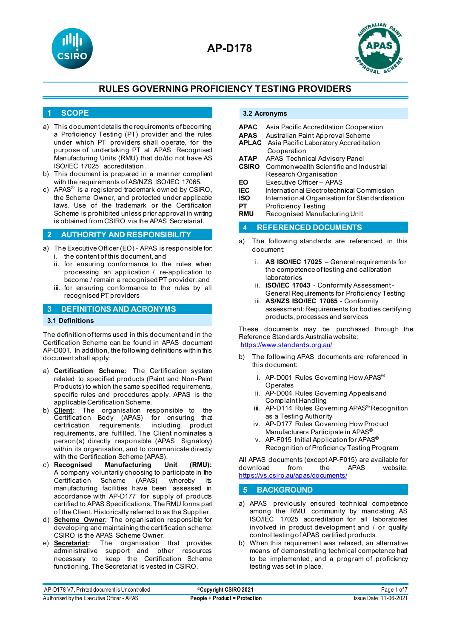



### **1 SCOPE**

- a) This document details the requirements of becoming a Proficiency Testing (PT) provider and the rules under which PT providers shall operate, for the purpose of undertaking PT at APAS Recognised Manufacturing Units (RMU) that do/do not have AS ISO/IEC 17025 accreditation.
- b) This document is prepared in a manner compliant with the requirements of AS/NZS ISO/IEC 17065.
- c) APAS® is a registered trademark owned by CSIRO, the Scheme Owner, and protected under applicable laws. Use of the trademark or the Certification Scheme is prohibited unless prior approval in writing is obtained from CSIRO via the APAS Secretariat.

#### **2 AUTHORITY AND RESPONSIBILITY**

- a) The Executive Officer (EO) APAS is responsible for: i. the content of this document, and
	- ii. for ensuring conformance to the rules when processing an application / re-application to become / remain a recognised PT provider, and
	- iii. for ensuring conformance to the rules by all recognised PT providers

### **3 DEFINITIONS AND ACRONYMS**

#### **3.1 Definitions**

The definition of terms used in this document and in the Certification Scheme can be found in APAS document AP-D001. In addition, the following definitions within this document shall apply:

- a) **Certification Scheme:** The Certification system related to specified products (Paint and Non-Paint Products) to which the same specified requirements, specific rules and procedures apply. APAS is the applicable Certification Scheme.
- b) **Client:** The organisation responsible to the Certification Body (APAS) for ensuring that certification requirements, including product requirements, are fulfilled. The Client nominates a person(s) directly responsible (APAS Signatory) within its organisation, and to communicate directly with the Certification Scheme (APAS).
- c) **Recognised Manufacturing Unit (RMU):** A company voluntarily choosing to participate in the Certification Scheme (APAS) whereby its manufacturing facilities have been assessed in accordance with AP-D177 for supply of products certified to APAS Specifications. The RMU forms part of the Client. Historically referred to as the Supplier.
- d) **Scheme Owner:** The organisation responsible for developing and maintaining the certification scheme. CSIRO is the APAS Scheme Owner.
- e) **Secretariat:** The organisation that provides administrative support and other resources necessary to keep the Certification Scheme functioning. The Secretariat is vested in CSIRO.

### **3.2 Acronyms**

| APAC  | Asia Pacific Accreditation Cooperation             |  |  |  |
|-------|----------------------------------------------------|--|--|--|
| APAS  | Australian Paint Approval Scheme                   |  |  |  |
|       | <b>APLAC</b> Asia Pacific Laboratory Accreditation |  |  |  |
|       | Cooperation                                        |  |  |  |
| АТАР  | APAS Technical Advisory Panel                      |  |  |  |
| CSIRO | Commonwealth Scientific and Industrial             |  |  |  |
|       | Research Organisation                              |  |  |  |
| EΟ    | Executive Officer - APAS                           |  |  |  |
| IEC   | International Electrotechnical Commission          |  |  |  |
| ISO   | International Organisation for Standardisation     |  |  |  |
| PТ    | Proficiency Testing                                |  |  |  |
|       |                                                    |  |  |  |

**RMU** Recognised Manufacturing Unit

#### **4 REFERENCED DOCUMENTS**

- a) The following standards are referenced in this document:
	- i. **AS ISO/IEC 17025** General requirements for the competence of testing and calibration laboratories
	- ii. **ISO/IEC 17043** Conformity Assessment General Requirements for Proficiency Testing
	- iii. **AS/NZS ISO/IEC 17065** Conformity assessment: Requirements for bodies certifying products, processes and services

These documents may be purchased through the Reference Standards Australia website: <https://www.standards.org.au/>

- b) The following APAS documents are referenced in this document:
	- i. AP-D001 Rules Governing How APAS<sup>®</sup> **Operates**
	- ii. AP-D004 Rules Governing Appeals and Complaint Handling
	- iii. AP-D114 Rules Governing APAS® Recognition as a Testing Authority
	- iv. AP-D177 Rules Governing How Product Manufacturers Participate in APAS®
	- v. AP-F015 Initial Application for APAS® Recognition of Proficiency Testing Program

All APAS documents (except AP-F015) are available for download <https://vs.csiro.au/apas/documents/>

## **5 BACKGROUND**

- a) APAS previously ensured technical competence among the RMU community by mandating AS ISO/IEC 17025 accreditation for all laboratories involved in product development and / or quality control testing of APAS certified products.
- b) When this requirement was relaxed, an alternative means of demonstrating technical competence had to be implemented, and a program of proficiency testing was set in place.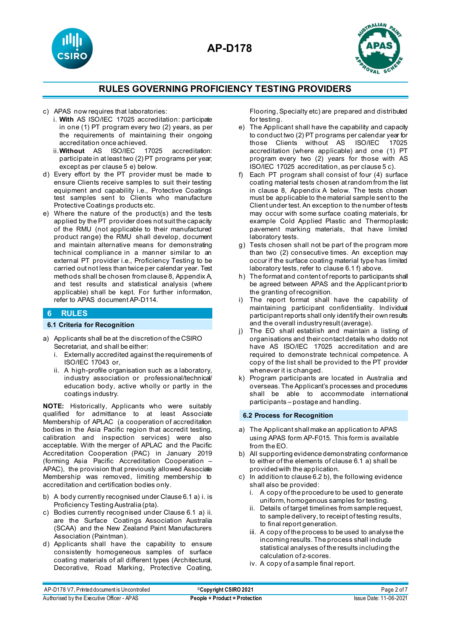





- c) APAS now requires that laboratories:
	- i. **With** AS ISO/IEC 17025 accreditation: participate in one (1) PT program every two (2) years, as per the requirements of maintaining their ongoing accreditation once achieved.<br>Without AS ISO/IEC 17025
	- ii.**Without** AS ISO/IEC 17025 accreditation: participate in at least two (2) PT programs per year; except as per clause 5 e) below.
- d) Every effort by the PT provider must be made to ensure Clients receive samples to suit their testing equipment and capability i.e., Protective Coatings test samples sent to Clients who manufacture Protective Coatings products etc.
- e) Where the nature of the product(s) and the tests applied by the PT provider does not suit the capacity of the RMU (not applicable to their manufactured product range) the RMU shall develop, document and maintain alternative means for demonstrating technical compliance in a manner similar to an external PT provider i.e., Proficiency Testing to be carried out not less than twice per calendar year. Test methods shall be chosen from clause 8, Appendix A, and test results and statistical analysis (where applicable) shall be kept. For further information, refer to APAS document AP-D114.

### **6 RULES 6.1 Criteria for Recognition**

### a) Applicants shall be at the discretion of the CSIRO Secretariat, and shall be either:

- i. Externally accredited against the requirements of ISO/IEC 17043 or,
- ii. A high-profile organisation such as a laboratory, industry association or professional/technical/ education body, active wholly or partly in the coatings industry.

**NOTE:** Historically, Applicants who were suitably qualified for admittance to at least Associate Membership of APLAC (a cooperation of accreditation bodies in the Asia Pacific region that accredit testing, calibration and inspection services) were also acceptable. With the merger of APLAC and the Pacific Accreditation Cooperation (PAC) in January 2019 (forming Asia Pacific Accreditation Cooperation – APAC), the provision that previously allowed Associate Membership was removed, limiting membership to accreditation and certification bodies only.

- b) A body currently recognised under Clause 6.1 a) i. is Proficiency Testing Australia (pta).
- c) Bodies currently recognised under Clause 6.1 a) ii. are the Surface Coatings Association Australia (SCAA) and the New Zealand Paint Manufacturers Association (Paintman).
- d) Applicants shall have the capability to ensure consistently homogeneous samples of surface coating materials of all different types (Architectural, Decorative, Road Marking, Protective Coating,

Flooring, Specialty etc) are prepared and distributed for testing.

- e) The Applicant shall have the capability and capacity to conduct two (2) PT programs per calendar year for those Clients without AS ISO/IEC accreditation (where applicable) and one (1) PT program every two (2) years for those with AS ISO/IEC 17025 accreditation, as per clause 5 c).
- f) Each PT program shall consist of four (4) surface coating material tests chosen at random from the list in clause 8, Appendix A below. The tests chosen must be applicable to the material sample sent to the Client under test. An exception to the number of tests may occur with some surface coating materials, for example Cold Applied Plastic and Thermoplastic pavement marking materials, that have limited laboratory tests.
- g) Tests chosen shall not be part of the program more than two (2) consecutive times. An exception may occur if the surface coating material type has limited laboratory tests, refer to clause 6.1 f) above.
- h) The format and content of reports to participants shall be agreed between APAS and the Applicant prior to the granting of recognition.
- i) The report format shall have the capability of maintaining participant confidentiality. Individual participant reports shall only identify their own results and the overall industry result (average).
- j) The EO shall establish and maintain a listing of organisations and their contact details who do/do not have AS ISO/IEC 17025 accreditation and are required to demonstrate technical competence. A copy of the list shall be provided to the PT provider whenever it is changed.
- k) Program participants are located in Australia and overseas. The Applicant's processes and procedures shall be able to accommodate international participants – postage and handling.

### **6.2 Process for Recognition**

- a) The Applicant shall make an application to APAS using APAS form AP-F015. This form is available from the EO.
- b) All supporting evidence demonstrating conformance to either of the elements of clause 6.1 a) shall be provided with the application.
- c) In addition to clause 6.2 b), the following evidence shall also be provided:
	- i. A copy of the procedure to be used to generate uniform, homogenous samples for testing.
	- ii. Details of target timelines from sample request, to sample delivery, to receipt of testing results, to final report generation.
	- iii. A copy of the process to be used to analyse the incoming results. The process shall include statistical analyses of the results including the calculation of z-scores.
	- iv. A copy of a sample final report.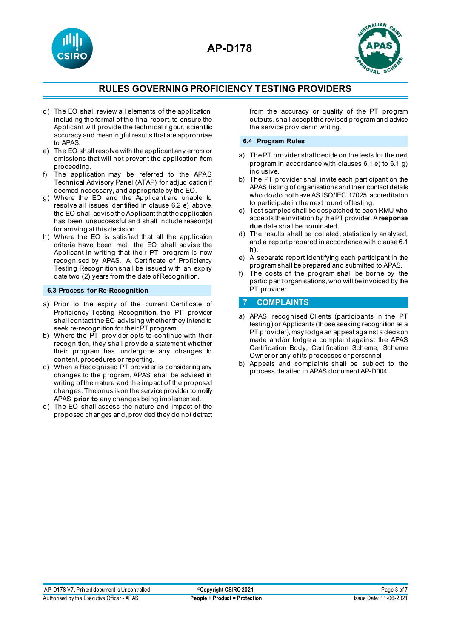



- d) The EO shall review all elements of the application, including the format of the final report, to ensure the Applicant will provide the technical rigour, scientific accuracy and meaningful results that are appropriate to APAS.
- e) The EO shall resolve with the applicant any errors or omissions that will not prevent the application from proceeding.
- The application may be referred to the APAS Technical Advisory Panel (ATAP) for adjudication if deemed necessary, and appropriate by the EO.
- g) Where the EO and the Applicant are unable to resolve all issues identified in clause 6.2 e) above, the EO shall advise the Applicant that the application has been unsuccessful and shall include reason(s) for arriving at this decision.
- h) Where the EO is satisfied that all the application criteria have been met, the EO shall advise the Applicant in writing that their PT program is now recognised by APAS. A Certificate of Proficiency Testing Recognition shall be issued with an expiry date two (2) years from the date of Recognition.

#### **6.3 Process for Re-Recognition**

- a) Prior to the expiry of the current Certificate of Proficiency Testing Recognition, the PT provider shall contact the EO advising whether they intend to seek re-recognition for their PT program.
- b) Where the PT provider opts to continue with their recognition, they shall provide a statement whether their program has undergone any changes to content, procedures or reporting.
- c) When a Recognised PT provider is considering any changes to the program, APAS shall be advised in writing of the nature and the impact of the proposed changes. The onus is on the service provider to notify APAS **prior to** any changes being implemented.
- d) The EO shall assess the nature and impact of the proposed changes and, provided they do not detract

from the accuracy or quality of the PT program outputs, shall accept the revised program and advise the service provider in writing.

#### **6.4 Program Rules**

- a) The PT provider shall decide on the tests for the next program in accordance with clauses 6.1 e) to 6.1 g) inclusive.
- b) The PT provider shall invite each participant on the APAS listing of organisations and their contact details who do/do not have AS ISO/IEC 17025 accreditation to participate in the next round of testing.
- c) Test samples shall be despatched to each RMU who accepts the invitation by the PT provider. A **response due** date shall be nominated.
- d) The results shall be collated, statistically analysed, and a report prepared in accordance with clause 6.1 h).
- e) A separate report identifying each participant in the program shall be prepared and submitted to APAS.
- f) The costs of the program shall be borne by the participant organisations, who will be invoiced by the PT provider.

## **7 COMPLAINTS**

- a) APAS recognised Clients (participants in the PT testing) or Applicants (those seeking recognition as a PT provider), may lodge an appeal against a decision made and/or lodge a complaint against the APAS Certification Body, Certification Scheme, Scheme Owner or any of its processes or personnel.
- b) Appeals and complaints shall be subject to the process detailed in APAS document AP-D004.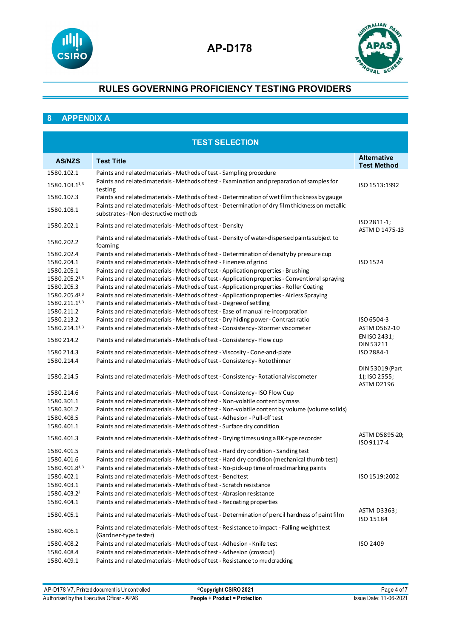



## **8 APPENDIX A**

| <b>TEST SELECTION</b>       |                                                                                                                                                                                             |                                                |  |  |
|-----------------------------|---------------------------------------------------------------------------------------------------------------------------------------------------------------------------------------------|------------------------------------------------|--|--|
| <b>AS/NZS</b>               | <b>Test Title</b>                                                                                                                                                                           | <b>Alternative</b><br><b>Test Method</b>       |  |  |
| 1580.102.1                  | Paints and related materials - Methods of test - Sampling procedure                                                                                                                         |                                                |  |  |
| 1580.103.11,3               | Paints and related materials - Methods of test - Examination and preparation of samples for<br>testing                                                                                      | ISO 1513:1992                                  |  |  |
| 1580.107.3                  | Paints and related materials - Methods of test - Determination of wet film thickness by gauge                                                                                               |                                                |  |  |
| 1580.108.1                  | Paints and related materials - Methods of test - Determination of dry film thickness on metallic<br>substrates - Non-destructive methods                                                    |                                                |  |  |
| 1580.202.1                  | Paints and related materials - Methods of test - Density                                                                                                                                    | ISO 2811-1;<br>ASTM D 1475-13                  |  |  |
| 1580.202.2                  | Paints and related materials - Methods of test - Density of water-dispersed paints subject to<br>foaming                                                                                    |                                                |  |  |
| 1580.202.4                  | Paints and related materials - Methods of test - Determination of density by pressure cup                                                                                                   |                                                |  |  |
| 1580.204.1                  | Paints and related materials - Methods of test - Fineness of grind                                                                                                                          | ISO 1524                                       |  |  |
| 1580.205.1                  | Paints and related materials - Methods of test - Application properties - Brushing                                                                                                          |                                                |  |  |
| 1580.205.21,3<br>1580.205.3 | Paints and related materials - Methods of test - Application properties - Conventional spraying<br>Paints and related materials - Methods of test - Application properties - Roller Coating |                                                |  |  |
| 1580.205.41,3               | Paints and related materials - Methods of test - Application properties - Airless Spraying                                                                                                  |                                                |  |  |
| 1580.211.11,3               | Paints and related materials - Methods of test - Degree of settling                                                                                                                         |                                                |  |  |
| 1580.211.2                  | Paints and related materials - Methods of test - Ease of manual re-incorporation                                                                                                            |                                                |  |  |
| 1580.213.2                  | Paints and related materials - Methods of test - Dry hiding power - Contrast ratio                                                                                                          | ISO 6504-3                                     |  |  |
| 1580.214.11,3               | Paints and related materials - Methods of test - Consistency - Stormer viscometer                                                                                                           | ASTM D562-10                                   |  |  |
| 1580 214.2                  | Paints and related materials - Methods of test - Consistency - Flow cup                                                                                                                     | EN ISO 2431;<br>DIN 53211                      |  |  |
| 1580 214.3                  | Paints and related materials - Methods of test - Viscosity - Cone-and-plate                                                                                                                 | ISO 2884-1                                     |  |  |
| 1580.214.4                  | Paints and related materials - Methods of test - Consistency - Rotothinner                                                                                                                  |                                                |  |  |
| 1580.214.5                  | Paints and related materials - Methods of test - Consistency - Rotational viscometer                                                                                                        | DIN 53019 (Part<br>1); ISO 2555;<br>ASTM D2196 |  |  |
| 1580.214.6                  | Paints and related materials - Methods of test - Consistency - ISO Flow Cup                                                                                                                 |                                                |  |  |
| 1580.301.1                  | Paints and related materials - Methods of test - Non-volatile content by mass                                                                                                               |                                                |  |  |
| 1580.301.2                  | Paints and related materials - Methods of test - Non-volatile content by volume (volume solids)                                                                                             |                                                |  |  |
| 1580.408.5                  | Paints and related materials - Methods of test - Adhesion - Pull-off test                                                                                                                   |                                                |  |  |
| 1580.401.1                  | Paints and related materials - Methods of test - Surface dry condition                                                                                                                      |                                                |  |  |
| 1580.401.3                  | Paints and related materials - Methods of test - Drying times using a BK-type recorder                                                                                                      |                                                |  |  |
| 1580.401.5                  | Paints and related materials - Methods of test - Hard dry condition - Sanding test                                                                                                          |                                                |  |  |
| 1580.401.6                  | Paints and related materials - Methods of test - Hard dry condition (mechanical thumb test)                                                                                                 |                                                |  |  |
| 1580.401.8 <sup>1,3</sup>   | Paints and related materials - Methods of test - No-pick-up time of road marking paints                                                                                                     |                                                |  |  |
| 1580.402.1                  | Paints and related materials - Methods of test - Bend test                                                                                                                                  | ISO 1519:2002                                  |  |  |
| 1580.403.1                  | Paints and related materials - Methods of test - Scratch resistance                                                                                                                         |                                                |  |  |
| 1580.403.2 <sup>2</sup>     | Paints and related materials - Methods of test - Abrasion resistance                                                                                                                        |                                                |  |  |
| 1580.404.1                  | Paints and related materials - Methods of test - Recoating properties                                                                                                                       |                                                |  |  |
| 1580.405.1                  | Paints and related materials - Methods of test - Determination of pencil hardness of paint film                                                                                             | ASTM D3363;<br>ISO 15184                       |  |  |
| 1580.406.1                  | Paints and related materials - Methods of test - Resistance to impact - Falling weight test<br>(Gardner-type tester)                                                                        |                                                |  |  |
| 1580.408.2                  | Paints and related materials - Methods of test - Adhesion - Knife test                                                                                                                      | <b>ISO 2409</b>                                |  |  |
| 1580.408.4                  | Paints and related materials - Methods of test - Adhesion (crosscut)                                                                                                                        |                                                |  |  |
| 1580.409.1                  | Paints and related materials - Methods of test - Resistance to mudcracking                                                                                                                  |                                                |  |  |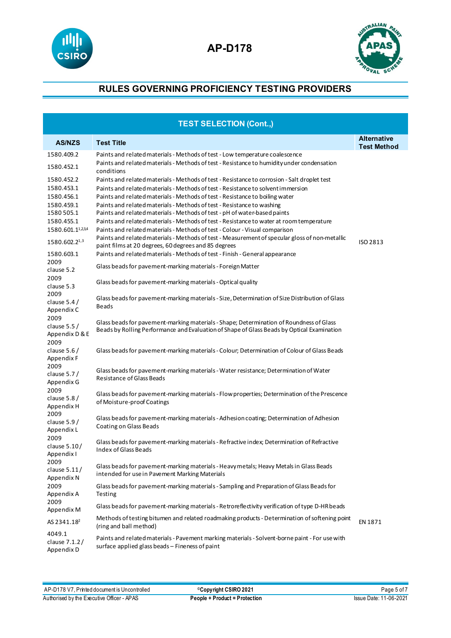



| <b>TEST SELECTION (Cont.,)</b>        |                                                                                                                                                   |                                          |  |  |
|---------------------------------------|---------------------------------------------------------------------------------------------------------------------------------------------------|------------------------------------------|--|--|
| <b>AS/NZS</b>                         | <b>Test Title</b>                                                                                                                                 | <b>Alternative</b><br><b>Test Method</b> |  |  |
| 1580.409.2                            | Paints and related materials - Methods of test - Low temperature coalescence                                                                      |                                          |  |  |
| 1580.452.1                            | Paints and related materials - Methods of test - Resistance to humidity under condensation<br>conditions                                          |                                          |  |  |
| 1580.452.2                            | Paints and related materials - Methods of test - Resistance to corrosion - Salt droplet test                                                      |                                          |  |  |
| 1580.453.1                            | Paints and related materials - Methods of test - Resistance to solvent immersion                                                                  |                                          |  |  |
| 1580.456.1                            | Paints and related materials - Methods of test - Resistance to boiling water                                                                      |                                          |  |  |
| 1580.459.1                            | Paints and related materials - Methods of test - Resistance to washing                                                                            |                                          |  |  |
| 1580 505.1                            | Paints and related materials - Methods of test - pH of water-based paints                                                                         |                                          |  |  |
| 1580.455.1                            | Paints and related materials - Methods of test - Resistance to water at room temperature                                                          |                                          |  |  |
| 1580.601.11,23,4                      | Paints and related materials - Methods of test - Colour - Visual comparison                                                                       |                                          |  |  |
|                                       | Paints and related materials - Methods of test - Measurement of specular gloss of non-metallic                                                    |                                          |  |  |
| 1580.602.21,3                         | paint films at 20 degrees, 60 degrees and 85 degrees                                                                                              | ISO 2813                                 |  |  |
| 1580.603.1                            | Paints and related materials - Methods of test - Finish - General appearance                                                                      |                                          |  |  |
| 2009                                  |                                                                                                                                                   |                                          |  |  |
| clause 5.2                            | Glass beads for pavement-marking materials - Foreign Matter                                                                                       |                                          |  |  |
| 2009<br>clause 5.3                    | Glass beads for pavement-marking materials - Optical quality                                                                                      |                                          |  |  |
| 2009<br>clause $5.4/$                 | Glass beads for pavement-marking materials - Size, Determination of Size Distribution of Glass                                                    |                                          |  |  |
| Appendix C                            | <b>Beads</b>                                                                                                                                      |                                          |  |  |
| 2009<br>clause $5.5/$                 | Glass beads for pavement-marking materials - Shape; Determination of Roundness of Glass                                                           |                                          |  |  |
| Appendix D & E                        | Beads by Rolling Performance and Evaluation of Shape of Glass Beads by Optical Examination                                                        |                                          |  |  |
| 2009<br>clause $5.6/$<br>Appendix F   | Glass beads for pavement-marking materials - Colour; Determination of Colour of Glass Beads                                                       |                                          |  |  |
| 2009<br>clause $5.7/$<br>Appendix G   | Glass beads for pavement-marking materials - Water resistance; Determination of Water<br><b>Resistance of Glass Beads</b>                         |                                          |  |  |
| 2009<br>clause $5.8/$<br>Appendix H   | Glass beads for pavement-marking materials - Flow properties; Determination of the Prescence<br>of Moisture-proof Coatings                        |                                          |  |  |
| 2009<br>clause $5.9/$<br>Appendix L   | Glass beads for pavement-marking materials - Adhesion coating; Determination of Adhesion<br>Coating on Glass Beads                                |                                          |  |  |
| 2009<br>clause $5.10/$<br>Appendix I  | Glass beads for pavement-marking materials - Refractive index; Determination of Refractive<br>Index of Glass Beads                                |                                          |  |  |
| 2009<br>clause $5.11/$<br>Appendix N  | Glass beads for pavement-marking materials - Heavy metals; Heavy Metals in Glass Beads<br>intended for use in Pavement Marking Materials          |                                          |  |  |
| 2009<br>Appendix A                    | Glass beads for pavement-marking materials - Sampling and Preparation of Glass Beads for<br>Testing                                               |                                          |  |  |
| 2009<br>Appendix M                    | Glass beads for pavement-marking materials - Retroreflectivity verification of type D-HR beads                                                    |                                          |  |  |
| AS 2341.18 <sup>2</sup>               | Methods of testing bitumen and related roadmaking products - Determination of softening point<br>(ring and ball method)                           | EN 1871                                  |  |  |
| 4049.1<br>clause 7.1.2/<br>Appendix D | Paints and related materials - Pavement marking materials - Solvent-borne paint - For use with<br>surface applied glass beads - Fineness of paint |                                          |  |  |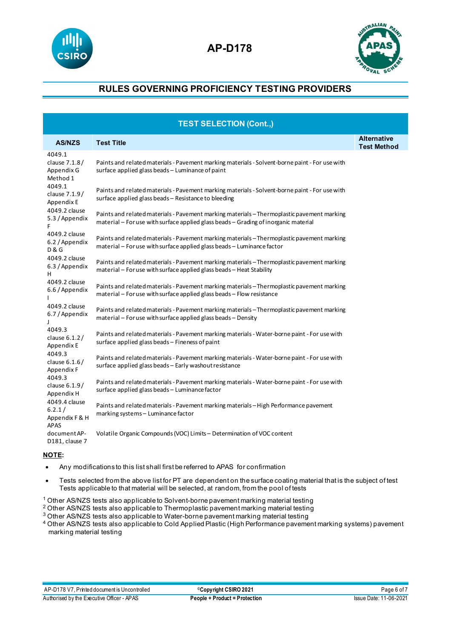



| <b>TEST SELECTION (Cont.,)</b>                    |                                                                                                                                                                                   |                                          |  |  |
|---------------------------------------------------|-----------------------------------------------------------------------------------------------------------------------------------------------------------------------------------|------------------------------------------|--|--|
| <b>AS/NZS</b>                                     | <b>Test Title</b>                                                                                                                                                                 | <b>Alternative</b><br><b>Test Method</b> |  |  |
| 4049.1<br>clause 7.1.8/<br>Appendix G<br>Method 1 | Paints and related materials - Pavement marking materials - Solvent-borne paint - For use with<br>surface applied glass beads - Luminance of paint                                |                                          |  |  |
| 4049.1<br>clause 7.1.9/<br>Appendix E             | Paints and related materials - Pavement marking materials - Solvent-borne paint - For use with<br>surface applied glass beads - Resistance to bleeding                            |                                          |  |  |
| 4049.2 clause<br>5.3 / Appendix                   | Paints and related materials - Pavement marking materials - Thermoplastic pavement marking<br>material – For use with surface applied glass beads – Grading of inorganic material |                                          |  |  |
| 4049.2 clause<br>6.2 / Appendix<br><b>D&amp;G</b> | Paints and related materials - Pavement marking materials - Thermoplastic pavement marking<br>material - For use with surface applied glass beads - Luminance factor              |                                          |  |  |
| 4049.2 clause<br>6.3 / Appendix<br>н              | Paints and related materials - Pavement marking materials - Thermoplastic pavement marking<br>material – For use with surface applied glass beads – Heat Stability                |                                          |  |  |
| 4049.2 clause<br>6.6 / Appendix                   | Paints and related materials - Pavement marking materials - Thermoplastic pavement marking<br>material – For use with surface applied glass beads – Flow resistance               |                                          |  |  |
| 4049.2 clause<br>6.7 / Appendix                   | Paints and related materials - Pavement marking materials - Thermoplastic pavement marking<br>material – For use with surface applied glass beads – Density                       |                                          |  |  |
| 4049.3<br>clause $6.1.2/$<br>Appendix E           | Paints and related materials - Pavement marking materials - Water-borne paint - For use with<br>surface applied glass beads - Fineness of paint                                   |                                          |  |  |
| 4049.3<br>clause $6.1.6/$<br>Appendix F           | Paints and related materials - Pavement marking materials - Water-borne paint - For use with<br>surface applied glass beads - Early washout resistance                            |                                          |  |  |
| 4049.3<br>clause 6.1.9/<br>Appendix H             | Paints and related materials - Pavement marking materials - Water-borne paint - For use with<br>surface applied glass beads - Luminance factor                                    |                                          |  |  |
| 4049.4 clause<br>6.2.1/<br>Appendix F & H         | Paints and related materials - Pavement marking materials - High Performance pavement<br>marking systems - Luminance factor                                                       |                                          |  |  |
| <b>APAS</b><br>document AP-<br>D181, clause 7     | Volatile Organic Compounds (VOC) Limits - Determination of VOC content                                                                                                            |                                          |  |  |

### **NOTE:**

- Any modifications to this list shall first be referred to APAS for confirmation
- Tests selected from the above list for PT are dependent on the surface coating material that is the subject of test Tests applicable to that material will be selected, at random, from the pool of tests
- <sup>1</sup> Other AS/NZS tests also applicable to Solvent-borne pavement marking material testing
- <sup>2</sup> Other AS/NZS tests also applicable to Thermoplastic pavement marking material testing
- <sup>3</sup> Other AS/NZS tests also applicable to Water-borne pavement marking material testing
- <sup>4</sup> Other AS/NZS tests also applicable to Cold Applied Plastic (High Performance pavement marking systems) pavement marking material testing